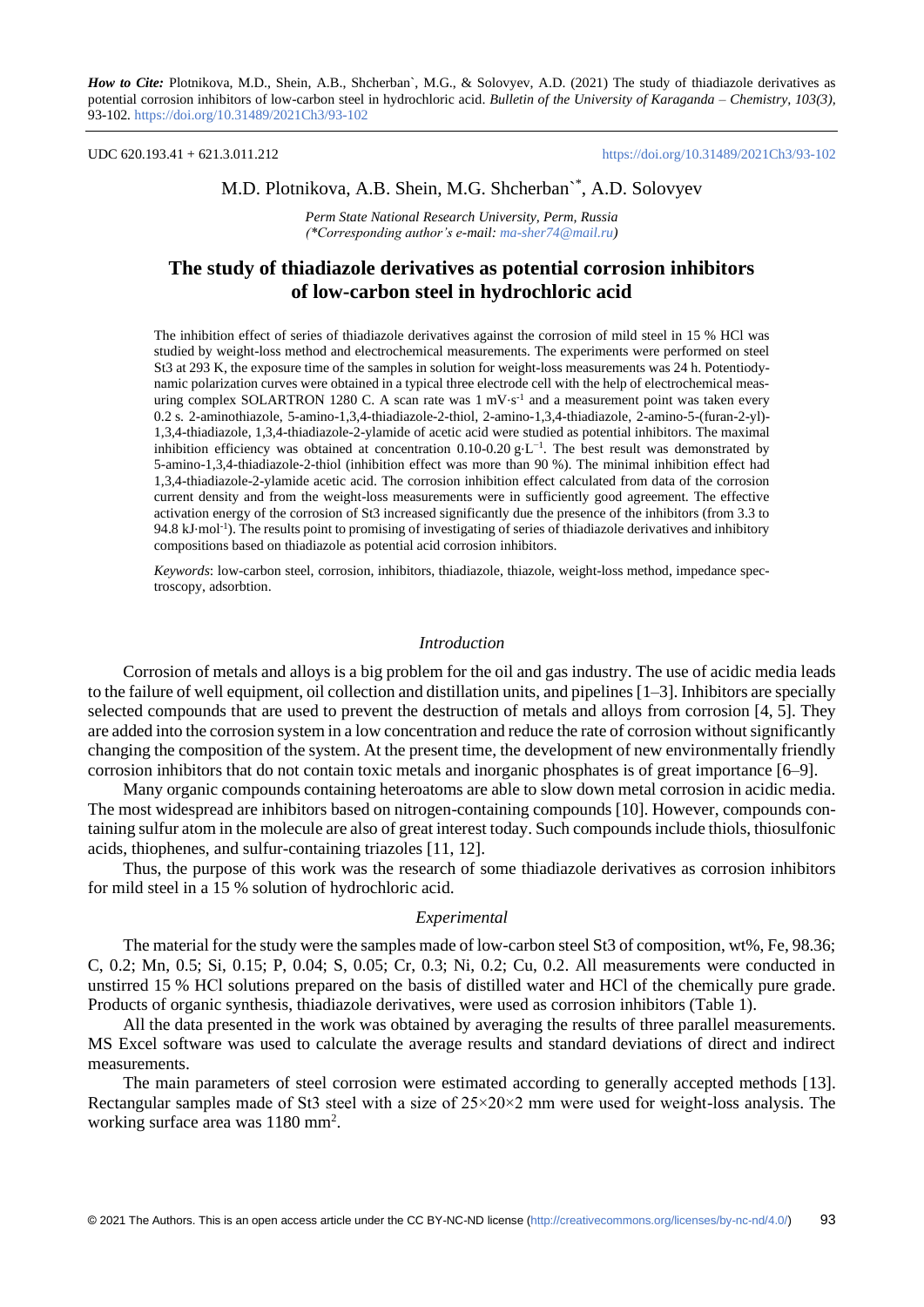#### UDC 620.193.41 + 621.3.011.212 <https://doi.org/10.31489/2021Ch3/93-102>

# M.D. Plotnikova, A.B. Shein, M.G. Shcherban`\* , A.D. Solovyev

*Perm State National Research University, Perm, Russia (\*Corresponding author's e-mail: [ma-sher74@mail.ru\)](mailto:ma-sher74@mail.ru)*

# **The study of thiadiazole derivatives as potential corrosion inhibitors of low-carbon steel in hydrochloric acid**

The inhibition effect of series of thiadiazole derivatives against the corrosion of mild steel in 15 % HCl was studied by weight-loss method and electrochemical measurements. The experiments were performed on steel St3 at 293 K, the exposure time of the samples in solution for weight-loss measurements was 24 h. Potentiodynamic polarization curves were obtained in a typical three electrode cell with the help of electrochemical measuring complex SOLARTRON 1280 C. A scan rate was 1 mV⋅s<sup>-1</sup> and a measurement point was taken every 0.2 s. 2-aminothiazole, 5-amino-1,3,4-thiadiazole-2-thiol, 2-amino-1,3,4-thiadiazole, 2-amino-5-(furan-2-yl)- 1,3,4-thiadiazole, 1,3,4-thiadiazole-2-ylamide of acetic acid were studied as potential inhibitors. The maximal inhibition efficiency was obtained at concentration  $0.10$ - $0.20$  g⋅L<sup>-1</sup>. The best result was demonstrated by 5-amino-1,3,4-thiadiazole-2-thiol (inhibition effect was more than 90 %). The minimal inhibition effect had 1,3,4-thiadiazole-2-ylamide acetic acid. The corrosion inhibition effect calculated from data of the corrosion current density and from the weight-loss measurements were in sufficiently good agreement. The effective activation energy of the corrosion of St3 increased significantly due the presence of the inhibitors (from 3.3 to 94.8 kJ⋅mol<sup>-1</sup>). The results point to promising of investigating of series of thiadiazole derivatives and inhibitory compositions based on thiadiazole as potential acid corrosion inhibitors.

*Keywords*: low-carbon steel, corrosion, inhibitors, thiadiazole, thiazole, weight-loss method, impedance spectroscopy, adsorbtion.

### *Introduction*

Corrosion of metals and alloys is a big problem for the oil and gas industry. The use of acidic media leads to the failure of well equipment, oil collection and distillation units, and pipelines [1–3]. Inhibitors are specially selected compounds that are used to prevent the destruction of metals and alloys from corrosion [4, 5]. They are added into the corrosion system in a low concentration and reduce the rate of corrosion without significantly changing the composition of the system. At the present time, the development of new environmentally friendly corrosion inhibitors that do not contain toxic metals and inorganic phosphates is of great importance [6–9].

Many organic compounds containing heteroatoms are able to slow down metal corrosion in acidic media. The most widespread are inhibitors based on nitrogen-containing compounds [10]. However, compounds containing sulfur atom in the molecule are also of great interest today. Such compounds include thiols, thiosulfonic acids, thiophenes, and sulfur-containing triazoles [11, 12].

Thus, the purpose of this work was the research of some thiadiazole derivatives as corrosion inhibitors for mild steel in a 15 % solution of hydrochloric acid.

#### *Experimental*

The material for the study were the samples made of low-carbon steel St3 of composition, wt%, Fe, 98.36; C, 0.2; Mn, 0.5; Si, 0.15; P, 0.04; S, 0.05; Cr, 0.3; Ni, 0.2; Cu, 0.2. All measurements were conducted in unstirred 15 % HСl solutions prepared on the basis of distilled water and HСl of the chemically pure grade. Products of organic synthesis, thiadiazole derivatives, were used as corrosion inhibitors (Table 1).

All the data presented in the work was obtained by averaging the results of three parallel measurements. MS Excel software was used to calculate the average results and standard deviations of direct and indirect measurements.

The main parameters of steel corrosion were estimated according to generally accepted methods [13]. Rectangular samples made of St3 steel with a size of  $25 \times 20 \times 2$  mm were used for weight-loss analysis. The working surface area was 1180 mm<sup>2</sup>.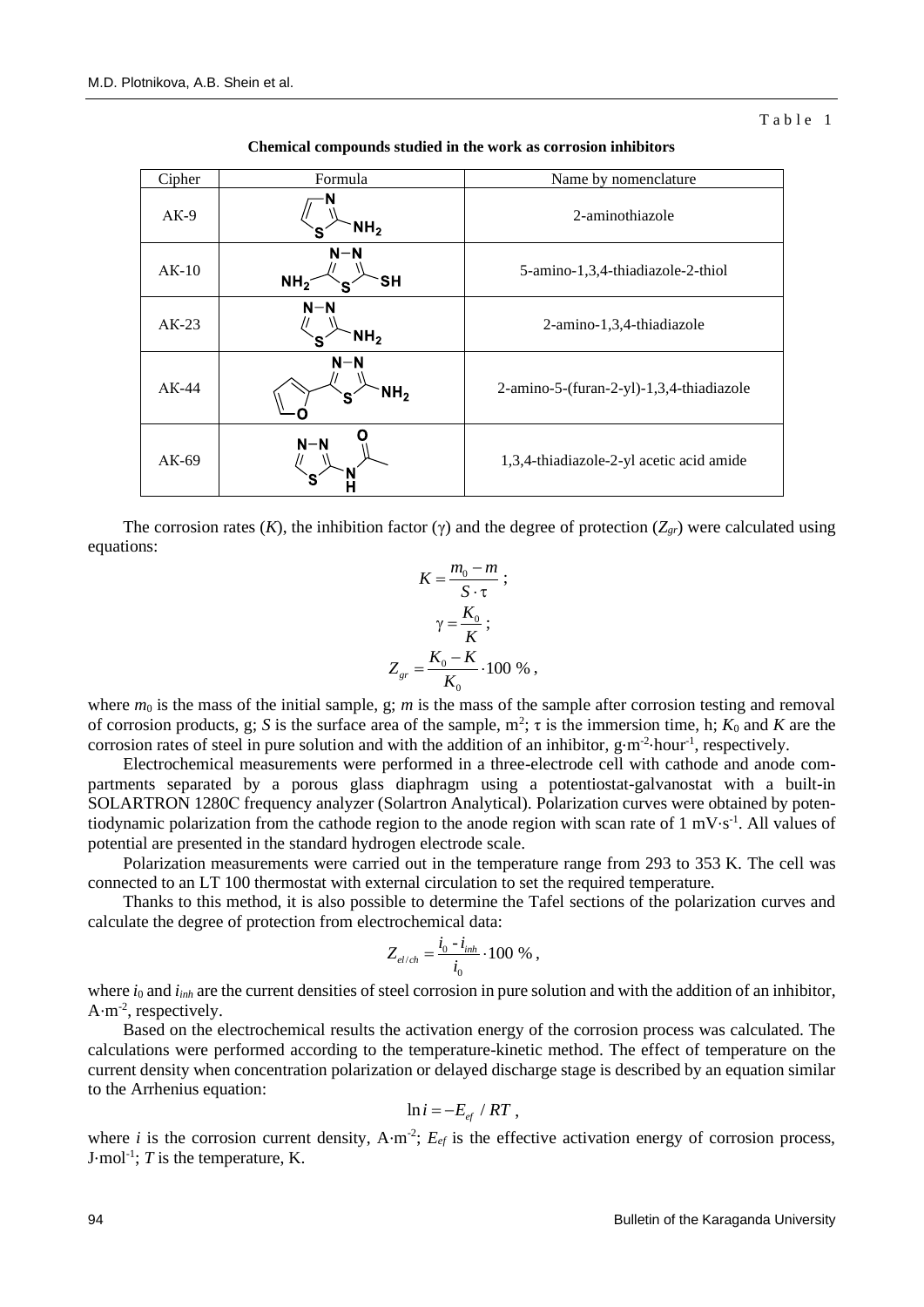| Cipher  | Formula                                     | Name by nomenclature                     |  |  |
|---------|---------------------------------------------|------------------------------------------|--|--|
| $AK-9$  | NH <sub>2</sub>                             | 2-aminothiazole                          |  |  |
| $AK-10$ | $N-N$<br>NH <sub>2</sub><br><b>SH</b><br>S. | 5-amino-1,3,4-thiadiazole-2-thiol        |  |  |
| $AK-23$ | $N-N$<br>NH <sub>2</sub><br>`S              | 2-amino-1,3,4-thiadiazole                |  |  |
| $AK-44$ | $N-N$<br>NH <sub>2</sub><br>S               | 2-amino-5-(furan-2-yl)-1,3,4-thiadiazole |  |  |
| $AK-69$ | $N-N$                                       | 1,3,4-thiadiazole-2-yl acetic acid amide |  |  |

**Chemical compounds studied in the work as corrosion inhibitors**

The corrosion rates  $(K)$ , the inhibition factor  $(\gamma)$  and the degree of protection  $(Z_{gr})$  were calculated using equations:

$$
K = \frac{m_0 - m}{S \cdot \tau} ;
$$

$$
\gamma = \frac{K_0}{K} ;
$$

$$
Z_{gr} = \frac{K_0 - K}{K_0} \cdot 100 \%
$$

where  $m_0$  is the mass of the initial sample, g; *m* is the mass of the sample after corrosion testing and removal of corrosion products, g; *S* is the surface area of the sample,  $m^2$ ;  $\tau$  is the immersion time, h;  $K_0$  and  $K$  are the corrosion rates of steel in pure solution and with the addition of an inhibitor, g⋅m<sup>-2</sup>⋅hour<sup>-1</sup>, respectively.

Electrochemical measurements were performed in a three-electrode cell with cathode and anode compartments separated by a porous glass diaphragm using a potentiostat-galvanostat with a built-in SOLARTRON 1280С frequency analyzer (Solartron Analytical). Polarization curves were obtained by potentiodynamic polarization from the cathode region to the anode region with scan rate of 1 mV⋅s<sup>-1</sup>. All values of potential are presented in the standard hydrogen electrode scale.

Polarization measurements were carried out in the temperature range from 293 to 353 K. The cell was connected to an LT 100 thermostat with external circulation to set the required temperature.

Thanks to this method, it is also possible to determine the Tafel sections of the polarization curves and calculate the degree of protection from electrochemical data:

$$
Z_{el/ch} = \frac{i_0 - i_{inh}}{i_0} \cdot 100\%
$$

where *i*<sub>0</sub> and *i*<sub>*inh*</sub> are the current densities of steel corrosion in pure solution and with the addition of an inhibitor,  $A \cdot m^{-2}$ , respectively.

Based on the electrochemical results the activation energy of the corrosion process was calculated. The calculations were performed according to the temperature-kinetic method. The effect of temperature on the current density when concentration polarization or delayed discharge stage is described by an equation similar to the Arrhenius equation:

$$
\ln i = -E_{\rm ef} /RT ,
$$

where *i* is the corrosion current density,  $A \cdot m^{-2}$ ;  $E_{ef}$  is the effective activation energy of corrosion process, J·mol<sup>-1</sup>;  $T$  is the temperature, K.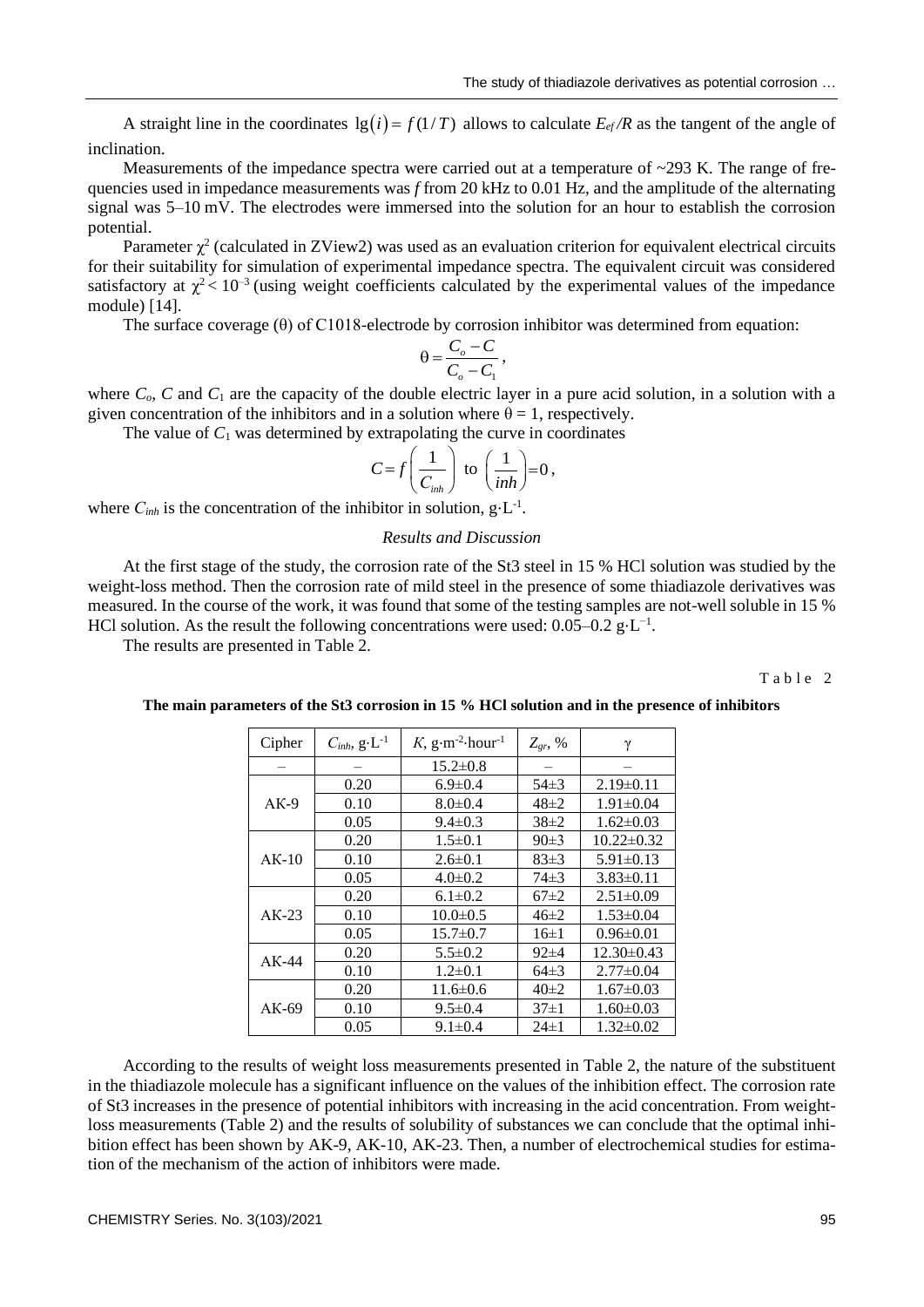A straight line in the coordinates  $\lg(i) = f(1/T)$  allows to calculate  $E_{ef}/R$  as the tangent of the angle of inclination.

Measurements of the impedance spectra were carried out at a temperature of  $\sim$ 293 K. The range of frequencies used in impedance measurements was *f* from 20 kHz to 0.01 Hz, and the amplitude of the alternating signal was 5–10 mV. The electrodes were immersed into the solution for an hour to establish the corrosion potential.

Parameter  $\chi^2$  (calculated in ZView2) was used as an evaluation criterion for equivalent electrical circuits for their suitability for simulation of experimental impedance spectra. The equivalent circuit was considered satisfactory at  $\chi^2$  < 10<sup>-3</sup> (using weight coefficients calculated by the experimental values of the impedance module) [14].

The surface coverage (θ) of С1018-electrode by corrosion inhibitor was determined from equation:

$$
\theta = \frac{C_o - C}{C_o - C_1},
$$

where  $C<sub>o</sub>$ ,  $C$  and  $C<sub>1</sub>$  are the capacity of the double electric layer in a pure acid solution, in a solution with a given concentration of the inhibitors and in a solution where  $\theta = 1$ , respectively.

The value of  $C_1$  was determined by extrapolating the curve in coordinates

$$
C = f\left(\frac{1}{C_{inh}}\right) \text{ to } \left(\frac{1}{inh}\right) = 0,
$$

where  $C_{inh}$  is the concentration of the inhibitor in solution,  $g \cdot L^{-1}$ .

### *Results and Discussion*

At the first stage of the study, the corrosion rate of the St3 steel in 15 % HCl solution was studied by the weight-loss method. Then the corrosion rate of mild steel in the presence of some thiadiazole derivatives was measured. In the course of the work, it was found that some of the testing samples are not-well soluble in 15 % HCl solution. As the result the following concentrations were used:  $0.05-0.2$  g⋅L<sup>-1</sup>.

The results are presented in Table 2.

Table 2

| Cipher  | $C_{inh}$ , $g \cdot L^{-1}$ | K, $g \cdot m^{-2}$ hour <sup>-1</sup> | $Z_{gr}$ , % | γ                |  |
|---------|------------------------------|----------------------------------------|--------------|------------------|--|
|         |                              | $15.2 \pm 0.8$                         |              |                  |  |
|         | 0.20                         | $6.9 \pm 0.4$                          | $54\pm3$     | $2.19\pm0.11$    |  |
| $AK-9$  | 0.10                         | $8.0 \pm 0.4$                          | $48 \pm 2$   | $1.91 \pm 0.04$  |  |
|         | 0.05                         | $9.4 \pm 0.3$                          | $38\pm2$     | $1.62 \pm 0.03$  |  |
|         | 0.20                         | $1.5 \pm 0.1$                          | 90±3         | $10.22 \pm 0.32$ |  |
| $AK-10$ | 0.10                         | $2.6 \pm 0.1$                          | 83±3         | $5.91 \pm 0.13$  |  |
|         | 0.05                         | $4.0 \pm 0.2$                          | $74\pm3$     | $3.83\pm0.11$    |  |
| $AK-23$ | 0.20                         | $6.1 \pm 0.2$                          | $67\pm2$     | $2.51 \pm 0.09$  |  |
|         | 0.10                         | $10.0 \pm 0.5$                         | $46\pm2$     | $1.53 \pm 0.04$  |  |
|         | 0.05                         | $15.7 \pm 0.7$                         | $16\pm1$     | $0.96 \pm 0.01$  |  |
| $AK-44$ | 0.20                         | $5.5 \pm 0.2$                          | $92\pm4$     | $12.30\pm0.43$   |  |
|         | 0.10                         | $1.2\pm 0.1$                           | $64\pm3$     | $2.77\pm0.04$    |  |
|         | 0.20                         | $11.6\pm 0.6$                          | $40\pm2$     | $1.67\pm0.03$    |  |
| $AK-69$ | 0.10                         | $9.5 \pm 0.4$                          | $37 \pm 1$   | $1.60 \pm 0.03$  |  |
|         | 0.05                         | $9.1 \pm 0.4$                          | $24 \pm 1$   | $1.32 \pm 0.02$  |  |

**The main parameters of the St3 corrosion in 15 % HCl solution and in the presence of inhibitors**

According to the results of weight loss measurements presented in Table 2, the nature of the substituent in the thiadiazole molecule has a significant influence on the values of the inhibition effect. The corrosion rate of St3 increases in the presence of potential inhibitors with increasing in the acid concentration. From weightloss measurements (Table 2) and the results of solubility of substances we can conclude that the optimal inhibition effect has been shown by AK-9, AK-10, AK-23. Then, a number of electrochemical studies for estimation of the mechanism of the action of inhibitors were made.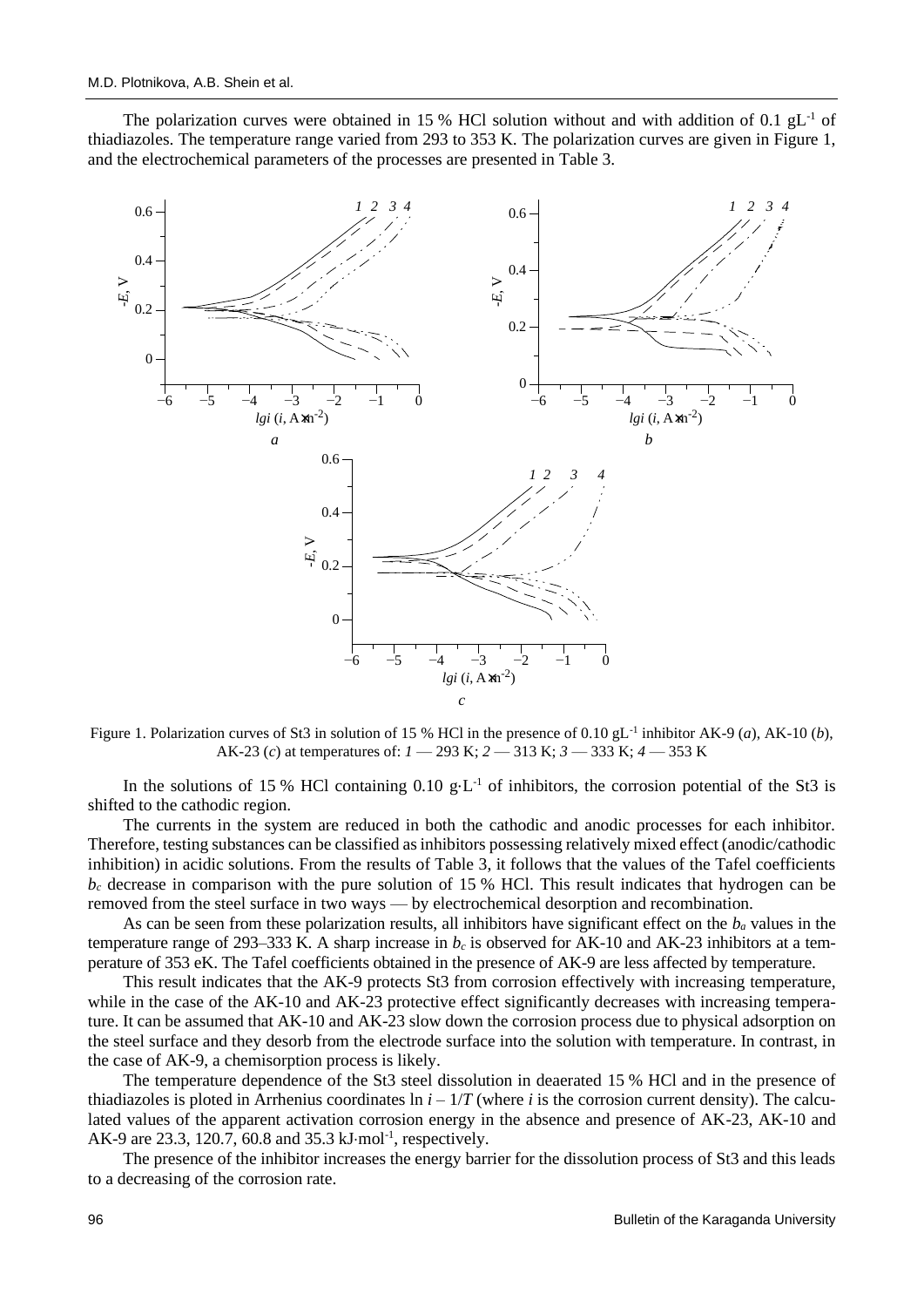The polarization curves were obtained in 15 % HCl solution without and with addition of 0.1  $gL^{-1}$  of thiadiazoles. The temperature range varied from 293 to 353 K. The polarization curves are given in Figure 1, and the electrochemical parameters of the processes are presented in Table 3.



Figure 1. Polarization curves of St3 in solution of 15 % HCl in the presence of 0.10 gL-1 inhibitor AK-9 (*a*), AK-10 (*b*), AK-23 (*c*) at temperatures of: *1* — 293 K; *2* — 313 K; *3* — 333 K; *4* — 353 K

In the solutions of 15 % HCl containing  $0.10 \text{ g} \cdot L^{-1}$  of inhibitors, the corrosion potential of the St3 is shifted to the cathodic region.

The currents in the system are reduced in both the cathodic and anodic processes for each inhibitor. Therefore, testing substances can be classified as inhibitors possessing relatively mixed effect (anodic/cathodic inhibition) in acidic solutions. From the results of Table 3, it follows that the values of the Tafel coefficients  $b<sub>c</sub>$  decrease in comparison with the pure solution of 15 % HCl. This result indicates that hydrogen can be removed from the steel surface in two ways — by electrochemical desorption and recombination.

As can be seen from these polarization results, all inhibitors have significant effect on the *b<sup>a</sup>* values in the temperature range of 293–333 K. A sharp increase in *b<sup>c</sup>* is observed for AK-10 and AK-23 inhibitors at a temperature of 353 eK. The Tafel coefficients obtained in the presence of AK-9 are less affected by temperature.

This result indicates that the AK-9 protects St3 from corrosion effectively with increasing temperature, while in the case of the AK-10 and AK-23 protective effect significantly decreases with increasing temperature. It can be assumed that AK-10 and AK-23 slow down the corrosion process due to physical adsorption on the steel surface and they desorb from the electrode surface into the solution with temperature. In contrast, in the case of AK-9, a chemisorption process is likely.

The temperature dependence of the St3 steel dissolution in deaerated 15 % HCl and in the presence of thiadiazoles is ploted in Arrhenius coordinates  $\ln i - 1/T$  (where *i* is the corrosion current density). The calculated values of the apparent activation corrosion energy in the absence and presence of AK-23, AK-10 and AK-9 are 23.3, 120.7, 60.8 and 35.3 kJ·mol<sup>-1</sup>, respectively.

The presence of the inhibitor increases the energy barrier for the dissolution process of St3 and this leads to a decreasing of the corrosion rate.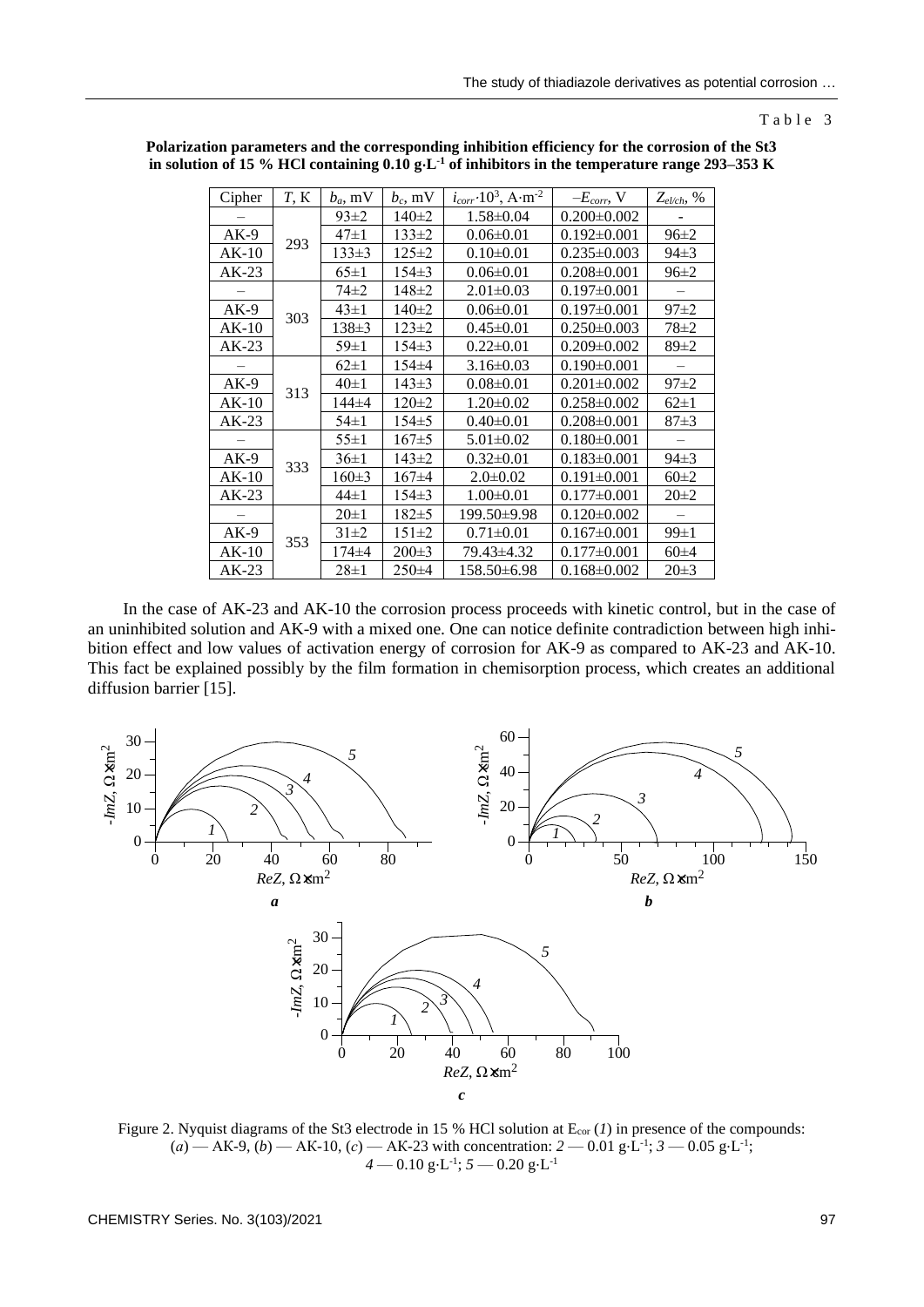Table 3

| Cipher  | T, K | $b_a$ , mV  | $b_c$ , mV  | $i_{corr}$ · $10^3$ , A · m <sup>-2</sup> | $-E_{corr}$ , V   | $Z_{el/ch}$ , % |
|---------|------|-------------|-------------|-------------------------------------------|-------------------|-----------------|
|         |      | $93\pm2$    | $140 \pm 2$ | $1.58 \pm 0.04$                           | $0.200 \pm 0.002$ |                 |
| $AK-9$  | 293  | $47 \pm 1$  | $133 \pm 2$ | $0.06 \pm 0.01$                           | $0.192 \pm 0.001$ | $96\pm2$        |
| $AK-10$ |      | $133 \pm 3$ | $125 \pm 2$ | $0.10 \pm 0.01$                           | $0.235 \pm 0.003$ | $94\pm3$        |
| $AK-23$ |      | $65\pm1$    | $154\pm3$   | $0.06 \pm 0.01$                           | $0.208 \pm 0.001$ | $96 \pm 2$      |
|         |      | 74±2        | $148 \pm 2$ | $2.01 \pm 0.03$                           | $0.197 \pm 0.001$ |                 |
| $AK-9$  |      | $43 \pm 1$  | $140 \pm 2$ | $0.06 \pm 0.01$                           | $0.197 \pm 0.001$ | $97\pm 2$       |
| $AK-10$ | 303  | $138 \pm 3$ | $123 \pm 2$ | $0.45 \pm 0.01$                           | $0.250 \pm 0.003$ | $78 \pm 2$      |
| AK-23   |      | $59 \pm 1$  | $154\pm3$   | $0.22 \pm 0.01$                           | $0.209 \pm 0.002$ | $89 \pm 2$      |
|         |      | $62\pm1$    | $154\pm4$   | $3.16 \pm 0.03$                           | $0.190 \pm 0.001$ |                 |
| $AK-9$  |      | $40\pm1$    | $143 \pm 3$ | $0.08 \pm 0.01$                           | $0.201 \pm 0.002$ | $97+2$          |
| AK-10   | 313  | 144±4       | $120 \pm 2$ | $1.20 \pm 0.02$                           | $0.258 \pm 0.002$ | $62 \pm 1$      |
| $AK-23$ |      | $54 \pm 1$  | $154 \pm 5$ | $0.40 \pm 0.01$                           | $0.208 \pm 0.001$ | $87+3$          |
|         |      | $55 \pm 1$  | $167\pm 5$  | $5.01 \pm 0.02$                           | $0.180 \pm 0.001$ |                 |
| $AK-9$  | 333  | $36 \pm 1$  | $143 \pm 2$ | $0.32 \pm 0.01$                           | $0.183 \pm 0.001$ | $94\pm3$        |
| AK-10   |      | $160 \pm 3$ | $167\pm4$   | $2.0 \pm 0.02$                            | $0.191 \pm 0.001$ | $60\pm2$        |
| $AK-23$ |      | $44 \pm 1$  | $154 \pm 3$ | $1.00 \pm 0.01$                           | $0.177 \pm 0.001$ | $20 \pm 2$      |
|         |      | $20 \pm 1$  | $182 \pm 5$ | 199.50±9.98                               | $0.120 \pm 0.002$ |                 |
| $AK-9$  |      | $31\pm2$    | $151 \pm 2$ | $0.71 \pm 0.01$                           | $0.167 \pm 0.001$ | $99\pm1$        |
| AK-10   | 353  | 174±4       | $200 \pm 3$ | 79.43±4.32                                | $0.177 \pm 0.001$ | $60\pm4$        |
| $AK-23$ |      | $28 \pm 1$  | $250 \pm 4$ | 158.50±6.98                               | $0.168 \pm 0.002$ | $20 \pm 3$      |

**Polarization parameters and the corresponding inhibition efficiency for the corrosion of the St3 in solution of 15 % HCl containing 0.10 g**⋅**L -1 of inhibitors in the temperature range 293–353 K**

In the case of AK-23 and AK-10 the corrosion process proceeds with kinetic control, but in the case of an uninhibited solution and AK-9 with a mixed one. One can notice definite contradiction between high inhibition effect and low values of activation energy of corrosion for AK-9 as compared to AK-23 and AK-10. This fact be explained possibly by the film formation in chemisorption process, which creates an additional diffusion barrier [15].



Figure 2. Nyquist diagrams of the St3 electrode in 15 % HCl solution at E<sub>cor</sub> (*1*) in presence of the compounds:  $(a)$  — AK-9,  $(b)$  — AK-10,  $(c)$  — AK-23 with concentration:  $2 - 0.01$  g⋅L<sup>-1</sup>;  $3 - 0.05$  g⋅L<sup>-1</sup>; *4* — 0.10 g⋅L<sup>-1</sup>; *5* — 0.20 g⋅L<sup>-1</sup>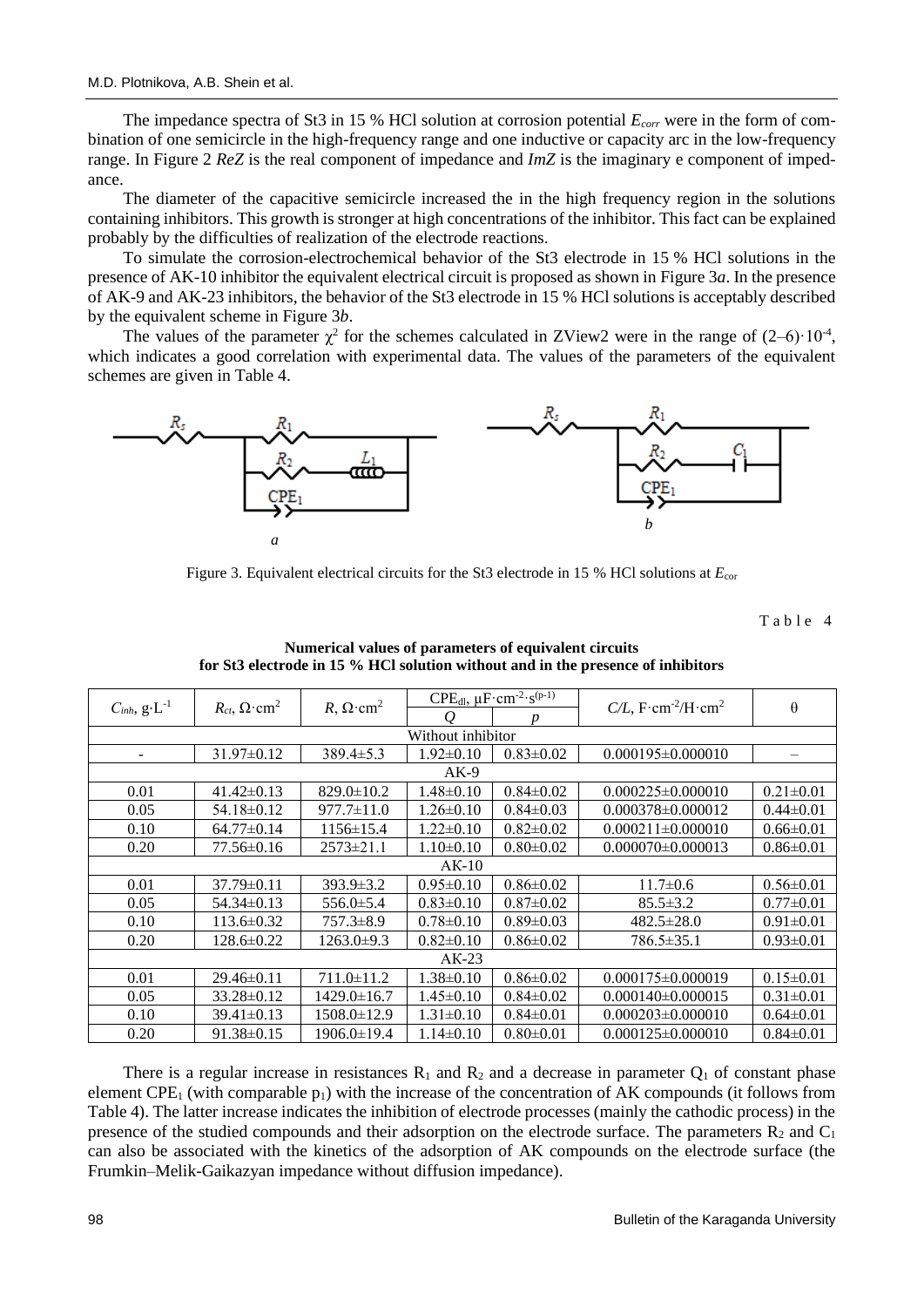The impedance spectra of St3 in 15 % HCl solution at corrosion potential *Ecorr* were in the form of combination of one semicircle in the high-frequency range and one inductive or capacity arc in the low-frequency range. In Figure 2 *ReZ* is the real component of impedance and *ImZ* is the imaginary e component of impedance.

The diameter of the capacitive semicircle increased the in the high frequency region in the solutions containing inhibitors. This growth is stronger at high concentrations of the inhibitor. This fact can be explained probably by the difficulties of realization of the electrode reactions.

To simulate the corrosion-electrochemical behavior of the St3 electrode in 15 % HCl solutions in the presence of AK-10 inhibitor the equivalent electrical circuit is proposed as shown in Figure 3*a*. In the presence of AK-9 and AK-23 inhibitors, the behavior of the St3 electrode in 15 % HCl solutions is acceptably described by the equivalent scheme in Figure 3*b*.

The values of the parameter  $\chi^2$  for the schemes calculated in ZView2 were in the range of  $(2-6)$  $\cdot 10^{-4}$ , which indicates a good correlation with experimental data. The values of the parameters of the equivalent schemes are given in Table 4.



Figure 3. Equivalent electrical circuits for the St3 electrode in 15 % HCl solutions at  $E_{cor}$ 

Table 4

| $C_{inh}$ , $g \cdot L^{-1}$ | $R_{ct}$ , $\Omega$ ·cm <sup>2</sup> | $R, \Omega$ ·cm <sup>2</sup> | $CPE_{dl}$ , $\mu$ F·cm <sup>-2</sup> · $s^{(p-1)}$ |                 | $C/L$ , F·cm <sup>-2</sup> /H·cm <sup>2</sup> |                          |  |  |  |
|------------------------------|--------------------------------------|------------------------------|-----------------------------------------------------|-----------------|-----------------------------------------------|--------------------------|--|--|--|
|                              |                                      |                              |                                                     | n               |                                               | $\theta$                 |  |  |  |
| Without inhibitor            |                                      |                              |                                                     |                 |                                               |                          |  |  |  |
| $\overline{\phantom{a}}$     | $31.97\pm0.12$                       | $389.4 \pm 5.3$              | $1.92 \pm 0.10$                                     | $0.83 \pm 0.02$ | $0.000195 \pm 0.000010$                       | $\overline{\phantom{m}}$ |  |  |  |
|                              | $AK-9$                               |                              |                                                     |                 |                                               |                          |  |  |  |
| 0.01                         | $41.42 \pm 0.13$                     | $829.0 \pm 10.2$             | $1.48 \pm 0.10$                                     | $0.84 \pm 0.02$ | $0.000225 \pm 0.000010$                       | $0.21 \pm 0.01$          |  |  |  |
| 0.05                         | 54.18±0.12                           | $977.7 \pm 11.0$             | $1.26 \pm 0.10$                                     | $0.84 \pm 0.03$ | $0.000378\pm0.000012$                         | $0.44 \pm 0.01$          |  |  |  |
| 0.10                         | $64.77 \pm 0.14$                     | $1156 \pm 15.4$              | $1.22 \pm 0.10$                                     | $0.82 \pm 0.02$ | $0.000211 \pm 0.000010$                       | $0.66 \pm 0.01$          |  |  |  |
| 0.20                         | 77.56±0.16                           | $2573 \pm 21.1$              | $1.10 \pm 0.10$                                     | $0.80 \pm 0.02$ | $0.000070 \pm 0.000013$                       | $0.86 \pm 0.01$          |  |  |  |
| $AK-10$                      |                                      |                              |                                                     |                 |                                               |                          |  |  |  |
| 0.01                         | $37.79 \pm 0.11$                     | $393.9 \pm 3.2$              | $0.95 \pm 0.10$                                     | $0.86 \pm 0.02$ | $11.7 \pm 0.6$                                | $0.56 \pm 0.01$          |  |  |  |
| 0.05                         | $54.34\pm0.13$                       | $556.0 \pm 5.4$              | $0.83 \pm 0.10$                                     | $0.87 \pm 0.02$ | $85.5 \pm 3.2$                                | $0.77 \pm 0.01$          |  |  |  |
| 0.10                         | $113.6 \pm 0.32$                     | $757.3 \pm 8.9$              | $0.78 \pm 0.10$                                     | $0.89 \pm 0.03$ | $482.5 \pm 28.0$                              | $0.91 \pm 0.01$          |  |  |  |
| 0.20                         | 128.6±0.22                           | $1263.0\pm9.3$               | $0.82 \pm 0.10$                                     | $0.86 \pm 0.02$ | $786.5 \pm 35.1$                              | $0.93 \pm 0.01$          |  |  |  |
| $AK-23$                      |                                      |                              |                                                     |                 |                                               |                          |  |  |  |
| 0.01                         | $29.46\pm0.11$                       | 711.0±11.2                   | $1.38 \pm 0.10$                                     | $0.86 \pm 0.02$ | $0.000175 \pm 0.000019$                       | $0.15 \pm 0.01$          |  |  |  |
| 0.05                         | 33.28±0.12                           | $1429.0 \pm 16.7$            | $1.45 \pm 0.10$                                     | $0.84 \pm 0.02$ | $0.000140\pm0.000015$                         | $0.31 \pm 0.01$          |  |  |  |
| 0.10                         | $39.41 \pm 0.13$                     | 1508.0±12.9                  | $1.31 \pm 0.10$                                     | $0.84 \pm 0.01$ | $0.000203 \pm 0.000010$                       | $0.64 \pm 0.01$          |  |  |  |
| 0.20                         | $91.38 \pm 0.15$                     | 1906.0±19.4                  | $1.14 \pm 0.10$                                     | $0.80 \pm 0.01$ | $0.000125 \pm 0.000010$                       | $0.84 \pm 0.01$          |  |  |  |

**Numerical values of parameters of equivalent circuits for St3 electrode in 15 % HCl solution without and in the presence of inhibitors**

There is a regular increase in resistances  $R_1$  and  $R_2$  and a decrease in parameter  $Q_1$  of constant phase element CPE<sub>1</sub> (with comparable  $p_1$ ) with the increase of the concentration of AK compounds (it follows from Table 4). The latter increase indicates the inhibition of electrode processes (mainly the cathodic process) in the presence of the studied compounds and their adsorption on the electrode surface. The parameters  $\mathbb{R}_2$  and  $\mathbb{C}_1$ can also be associated with the kinetics of the adsorption of AK compounds on the electrode surface (the Frumkin–Melik-Gaikazyan impedance without diffusion impedance).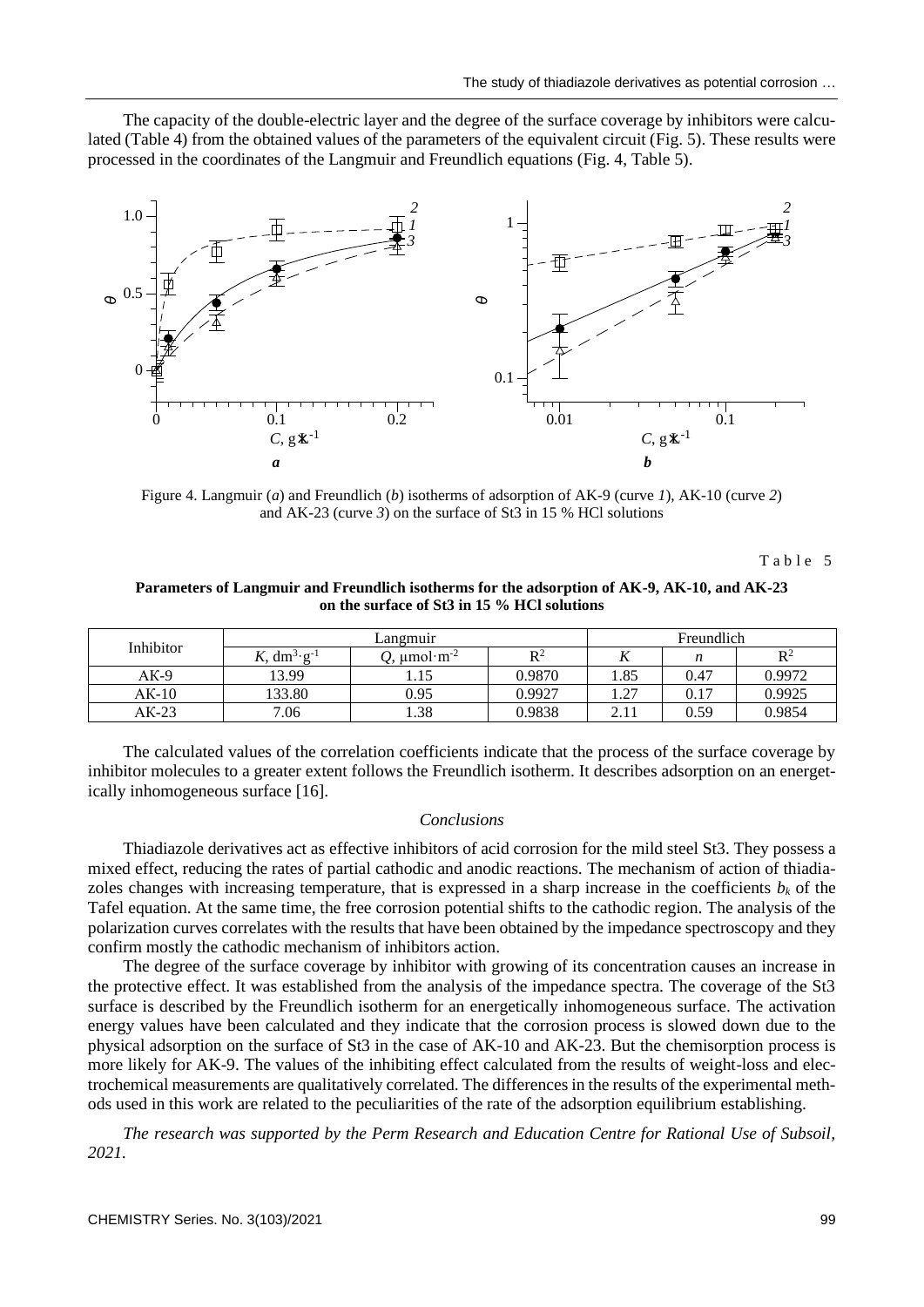The capacity of the double-electric layer and the degree of the surface coverage by inhibitors were calculated (Table 4) from the obtained values of the parameters of the equivalent circuit (Fig. 5). These results were processed in the coordinates of the Langmuir and Freundlich equations (Fig. 4, Table 5).



Figure 4. Langmuir (*a*) and Freundlich (*b*) isotherms of adsorption of AK-9 (curve *1*), AK-10 (curve *2*) and AK-23 (curve *3*) on the surface of St3 in 15 % HCl solutions

Table 5

### **Parameters of Langmuir and Freundlich isotherms for the adsorption of AK-9, AK-10, and AK-23 on the surface of St3 in 15 % HCl solutions**

| Inhibitor | Langmuir         |                           |                | Freundlich |                          |                |
|-----------|------------------|---------------------------|----------------|------------|--------------------------|----------------|
|           | , $dm^{3}g^{-1}$ | $\mu$ mol·m <sup>-2</sup> | D <sup>2</sup> | 17         | $\overline{\phantom{a}}$ | $\mathbf{R}^2$ |
| AK-9      | 13.99            |                           | 0.9870         | l.85       | 0.47                     | 0.9972         |
| AK-10     | 133.80           | 0.95                      | 0.9927         | 1.27       | 0.17                     | 0.9925         |
| AK-23     | 7.06             | 1.38                      | 0.9838         | 2.11       | 0.59                     | 0.9854         |

The calculated values of the correlation coefficients indicate that the process of the surface coverage by inhibitor molecules to a greater extent follows the Freundlich isotherm. It describes adsorption on an energetically inhomogeneous surface [16].

### *Conclusions*

Thiadiazole derivatives act as effective inhibitors of acid corrosion for the mild steel St3. They possess a mixed effect, reducing the rates of partial cathodic and anodic reactions. The mechanism of action of thiadiazoles changes with increasing temperature, that is expressed in a sharp increase in the coefficients  $b_k$  of the Tafel equation. At the same time, the free corrosion potential shifts to the cathodic region. The analysis of the polarization curves correlates with the results that have been obtained by the impedance spectroscopy and they confirm mostly the cathodic mechanism of inhibitors action.

The degree of the surface coverage by inhibitor with growing of its concentration causes an increase in the protective effect. It was established from the analysis of the impedance spectra. The coverage of the St3 surface is described by the Freundlich isotherm for an energetically inhomogeneous surface. The activation energy values have been calculated and they indicate that the corrosion process is slowed down due to the physical adsorption on the surface of St3 in the case of AK-10 and AK-23. But the chemisorption process is more likely for AK-9. The values of the inhibiting effect calculated from the results of weight-loss and electrochemical measurements are qualitatively correlated. The differences in the results of the experimental methods used in this work are related to the peculiarities of the rate of the adsorption equilibrium establishing.

*The research was supported by the Perm Research and Education Centre for Rational Use of Subsoil, 2021.*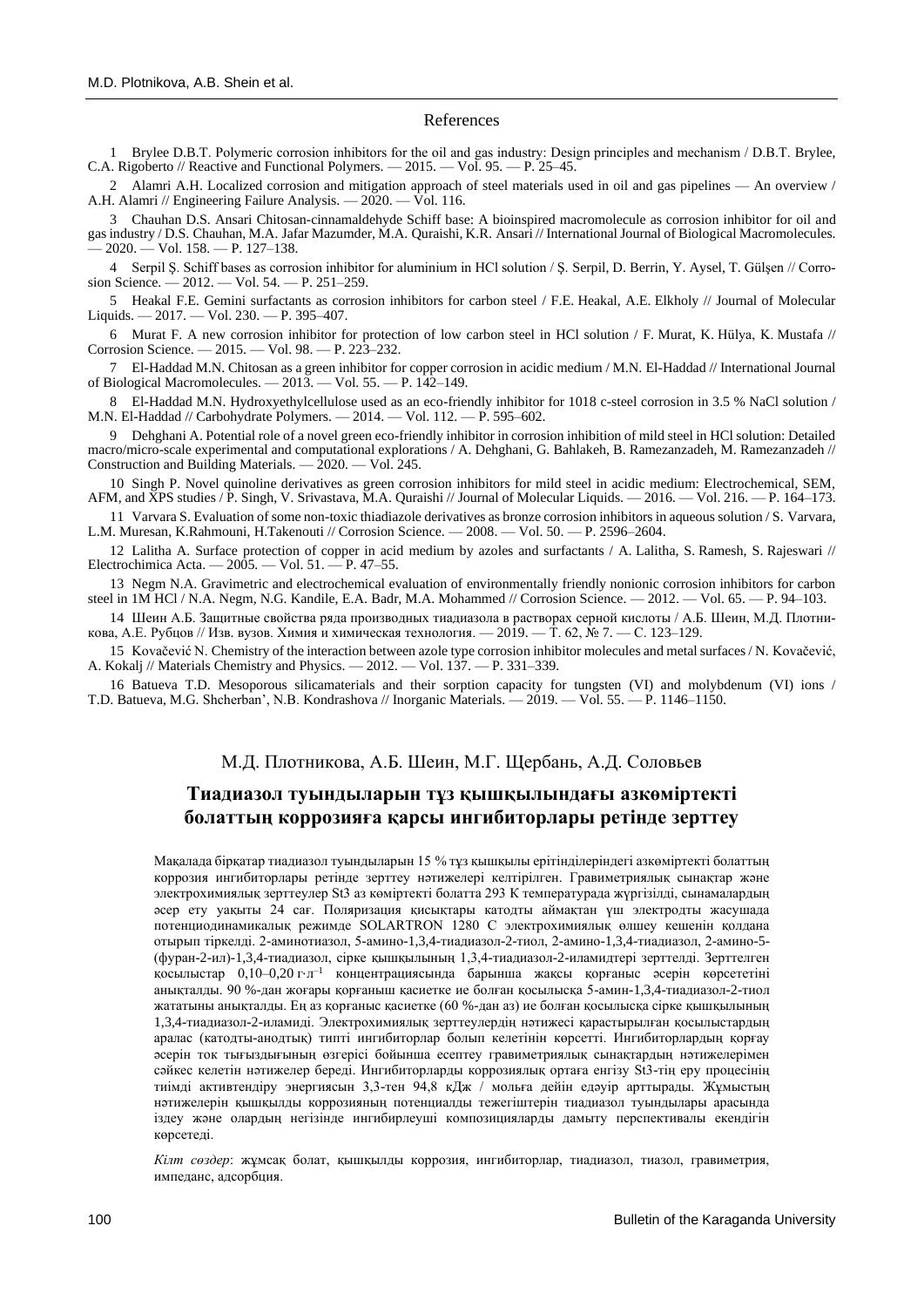#### References

1 Brylee D.B.T. Polymeric corrosion inhibitors for the oil and gas industry: Design principles and mechanism / D.B.Т. Brylee, C.A. Rigoberto // Reactive and Functional Polymers. — 2015. — Vol. 95. — P. 25–45.

2 Alamri A.H. Localized corrosion and mitigation approach of steel materials used in oil and gas pipelines — An overview / A.H. Alamri // Engineering Failure Analysis. — 2020. — Vol. 116.

3 Chauhan D.S. Ansari Chitosan-cinnamaldehyde Schiff base: A bioinspired macromolecule as corrosion inhibitor for oil and gas industry / D.S. Chauhan, M.A. Jafar Mazumder, M.A. Quraishi, K.R. Ansari // International Journal of Biological Macromolecules.  $-2020.$   $-$  Vol. 158.  $-$  P. 127–138.

4 Serpil Ş. Schiff bases as corrosion inhibitor for aluminium in HCl solution / Ş. Serpil, D. Berrin, Y. Aysel, T. Gülşen // Corrosion Science. — 2012. — Vol. 54. — P. 251–259.

5 Heakal F.E. Gemini surfactants as corrosion inhibitors for carbon steel / F.E. Heakal, A.E. Elkholy // Journal of Molecular Liquids. — 2017. — Vol. 230. — P. 395–407.

6 Murat F. A new corrosion inhibitor for protection of low carbon steel in HCl solution / F. Murat, K. Hülya, K. Mustafa // Corrosion Science. — 2015. — Vol. 98. — P. 223–232.

7 El-Haddad M.N. Chitosan as a green inhibitor for copper corrosion in acidic medium / M.N. El-Haddad // International Journal of Biological Macromolecules. — 2013. — Vol. 55. — P. 142–149.

8 El-Haddad M.N. Hydroxyethylcellulose used as an eco-friendly inhibitor for 1018 c-steel corrosion in 3.5 % NaCl solution / M.N. El-Haddad // Carbohydrate Polymers. — 2014. — Vol. 112. — P. 595–602.

9 Dehghani A. Potential role of a novel green eco-friendly inhibitor in corrosion inhibition of mild steel in HCl solution: Detailed macro/micro-scale experimental and computational explorations / A. Dehghani, G. Bahlakeh, B. Ramezanzadeh, M. Ramezanzadeh // Construction and Building Materials. — 2020. — Vol. 245.

10 Singh P. Novel quinoline derivatives as green corrosion inhibitors for mild steel in acidic medium: Electrochemical, SEM, AFM, and XPS studies / P. Singh, V. Srivastava, M.A. Quraishi // Journal of Molecular Liquids. — 2016. — Vol. 216. — P. 164–173.

11 Varvara S. Evaluation of some non-toxic thiadiazole derivatives as bronze corrosion inhibitors in aqueous solution / S. Varvara, L.M. Muresan, K.Rahmouni, H.Takenouti // Corrosion Science. — 2008. — Vol. 50. — P. 2596–2604.

12 Lalitha A. Surface protection of copper in acid medium by azoles and surfactants / A. Lalitha, S. Ramesh, S. Rajeswari // Electrochimica Acta. — 2005. — Vol. 51. — P. 47–55.

13 Negm N.A. Gravimetric and electrochemical evaluation of environmentally friendly nonionic corrosion inhibitors for carbon steel in 1M HCl / N.A. Negm, N.G. Kandile, E.A. Badr, M.A. Mohammed // Corrosion Science. — 2012. — Vol. 65. — P. 94-103.

14 Шеин А.Б. Защитные свойства ряда производных тиадиазола в растворах серной кислоты / А.Б. Шеин, М.Д. Плотникова, А.Е. Рубцов // Изв. вузов. Химия и химическая технология. — 2019. — Т. 62, № 7. — С. 123-129.

15 Kovačević N. Chemistry of the interaction between azole type corrosion inhibitor molecules and metal surfaces / N. Kovačević, A. Kokalj // Materials Chemistry and Physics. — 2012. — Vol. 137. — P. 331–339.

16 Batueva T.D. Mesoporous silicamaterials and their sorption capacity for tungsten (VI) and molybdenum (VI) ions / T.D. Batueva, M.G. Shcherban', N.B. Kondrashova // Inorganic Materials. — 2019. — Vol. 55. — P. 1146–1150.

## М.Д. Плотникова, А.Б. Шеин, М.Г. Щербань, А.Д. Соловьев

# **Тиадиазол туындыларын тұз қышқылындағы азкөміртекті болаттың коррозияға қарсы ингибиторлары ретінде зерттеу**

Мақалада бірқатар тиадиазол туындыларын 15 % тұз қышқылы ерітінділеріндегі азкөміртекті болаттың коррозия ингибиторлары ретінде зерттеу нәтижелері келтірілген. Гравиметриялық сынақтар және электрохимиялық зерттеулер St3 аз көміртекті болатта 293 К температурада жүргізілді, сынамалардың әсер ету уақыты 24 сағ. Поляризация қисықтары катодты аймақтан үш электродты жасушада потенциодинамикалық режимде SOLARTRON 1280 C электрохимиялық өлшеу кешенін қолдана отырып тіркелді. 2-аминотиазол, 5-амино-1,3,4-тиадиазол-2-тиол, 2-амино-1,3,4-тиадиазол, 2-амино-5- (фуран-2-ил)-1,3,4-тиадиазол, сірке қышқылының 1,3,4-тиадиазол-2-иламидтері зерттелді. Зерттелген қосылыстар 0,10–0,20 г⋅л –1 концентрациясында барынша жақсы қорғаныс әсерін көрсететіні анықталды. 90 %-дан жоғары қорғаныш қасиетке ие болған қосылысқа 5-амин-1,3,4-тиадиазол-2-тиол жататыны анықталды. Ең аз қорғаныс қасиетке (60 %-дан аз) ие болған қосылысқа сірке қышқылының 1,3,4-тиадиазол-2-иламиді. Электрохимиялық зерттеулердің нәтижесі қарастырылған қосылыстардың аралас (катодты-анодтық) типті ингибиторлар болып келетінін көрсетті. Ингибиторлардың қорғау әсерін ток тығыздығының өзгерісі бойынша есептеу гравиметриялық сынақтардың нәтижелерімен сәйкес келетін нәтижелер береді. Ингибиторларды коррозиялық ортаға енгізу St3-тің еру процесінің тиімді активтендіру энергиясын 3,3-тен 94,8 кДж / мольға дейін едәуір арттырады. Жұмыстың нәтижелерін қышқылды коррозияның потенциалды тежегіштерін тиадиазол туындылары арасында іздеу және олардың негізінде ингибирлеуші композицияларды дамыту перспективалы екендігін көрсетелі.

*Кілт сөздер*: жұмсақ болат, қышқылды коррозия, ингибиторлар, тиадиазол, тиазол, гравиметрия, импеданс, адсорбция.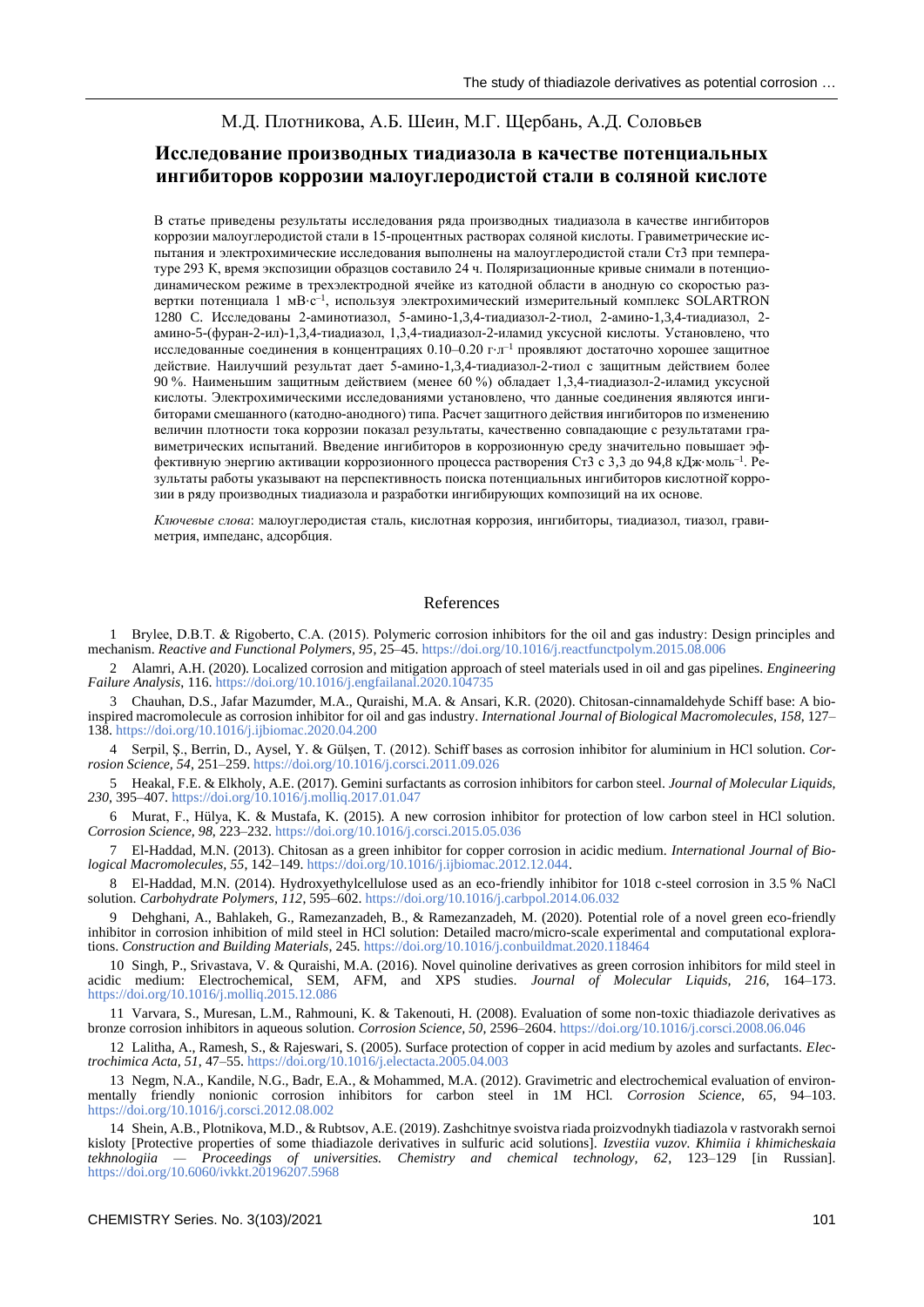# М.Д. Плотникова, А.Б. Шеин, М.Г. Щербань, А.Д. Соловьев

# **Исследование производных тиадиазола в качестве потенциальных ингибиторов коррозии малоуглеродистой стали в соляной кислоте**

В статье приведены результаты исследования ряда производных тиадиазола в качестве ингибиторов коррозии малоуглеродистой стали в 15-процентных растворах соляной кислоты. Гравиметрические испытания и электрохимические исследования выполнены на малоуглеродистой стали Ст3 при температуре 293 К, время экспозиции образцов составило 24 ч. Поляризационные кривые снимали в потенциодинамическом режиме в трехэлектродной ячейке из катодной области в анодную со скоростью развертки потенциала 1 мВ⋅с<sup>-1</sup>, используя электрохимический измерительный комплекс SOLARTRON 1280 C. Исследованы 2-аминотиазол, 5-амино-1,3,4-тиадиазол-2-тиол, 2-амино-1,3,4-тиадиазол, 2 амино-5-(фуран-2-ил)-1,3,4-тиадиазол, 1,3,4-тиадиазол-2-иламид уксусной кислоты. Установлено, что исследованные соединения в концентрациях 0.10–0.20 г⋅л –1 проявляют достаточно хорошее защитное действие. Наилучший результат дает 5-амино-1,3,4-тиадиазол-2-тиол с защитным действием более 90 %. Наименьшим защитным действием (менее 60 %) обладает 1,3,4-тиадиазол-2-иламид уксусной кислоты. Электрохимическими исследованиями установлено, что данные соединения являются ингибиторами смешанного (катодно-анодного) типа. Расчет защитного действия ингибиторов по изменению величин плотности тока коррозии показал результаты, качественно совпадающие с результатами гравиметрических испытаний. Введение ингибиторов в коррозионную среду значительно повышает эффективную энергию активации коррозионного процесса растворения Ст3 с 3,3 до 94,8 кДж⋅моль–1 . Результаты работы указывают на перспективность поиска потенциальных ингибиторов кислотной̆коррозии в ряду производных тиадиазола и разработки ингибирующих композиций на их основе.

*Ключевые слова*: малоуглеродистая сталь, кислотная коррозия, ингибиторы, тиадиазол, тиазол, гравиметрия, импеданс, адсорбция.

## References

1 Brylee, D.B.Т. & Rigoberto, C.A. (2015). Polymeric corrosion inhibitors for the oil and gas industry: Design principles and mechanism. *Reactive and Functional Polymers, 95*, 25–45.<https://doi.org/10.1016/j.reactfunctpolym.2015.08.006>

2 Alamri, A.H. (2020). Localized corrosion and mitigation approach of steel materials used in oil and gas pipelines. *Engineering Failure Analysis*, 116.<https://doi.org/10.1016/j.engfailanal.2020.104735>

3 Chauhan, D.S., Jafar Mazumder, M.A., Quraishi, M.A. & Ansari, K.R. (2020). Chitosan-cinnamaldehyde Schiff base: A bioinspired macromolecule as corrosion inhibitor for oil and gas industry. *International Journal of Biological Macromolecules, 158*, 127– 138[. https://doi.org/10.1016/j.ijbiomac.2020.04.200](https://doi.org/10.1016/j.ijbiomac.2020.04.200)

4 Serpil, Ş., Berrin, D., Aysel, Y. & Gülşen, T. (2012). Schiff bases as corrosion inhibitor for aluminium in HCl solution. *Corrosion Science, 54*, 251–259[. https://doi.org/10.1016/j.corsci.2011.09.026](https://doi.org/10.1016/j.corsci.2011.09.026)

5 Heakal, F.E. & Elkholy, A.E. (2017). Gemini surfactants as corrosion inhibitors for carbon steel. *Journal of Molecular Liquids, 230*, 395–407[. https://doi.org/10.1016/j.molliq.2017.01.047](https://doi.org/10.1016/j.molliq.2017.01.047)

6 Murat, F., Hülya, K. & Mustafa, K. (2015). A new corrosion inhibitor for protection of low carbon steel in HCl solution. *Corrosion Science, 98*, 223–232[. https://doi.org/10.1016/j.corsci.2015.05.036](https://doi.org/10.1016/j.corsci.2015.05.036)

7 El-Haddad, M.N. (2013). Chitosan as a green inhibitor for copper corrosion in acidic medium. *International Journal of Biological Macromolecules, 55*, 142–149. [https://doi.org/10.1016/j.ijbiomac.2012.12.044.](https://doi.org/10.1016/j.ijbiomac.2012.12.044)

8 El-Haddad, M.N. (2014). Hydroxyethylcellulose used as an eco-friendly inhibitor for 1018 c-steel corrosion in 3.5 % NaCl solution. *Carbohydrate Polymers, 112*, 595–602[. https://doi.org/10.1016/j.carbpol.2014.06.032](https://doi.org/10.1016/j.carbpol.2014.06.032)

9 Dehghani, A., Bahlakeh, G., Ramezanzadeh, B., & Ramezanzadeh, M. (2020). Potential role of a novel green eco-friendly inhibitor in corrosion inhibition of mild steel in HCl solution: Detailed macro/micro-scale experimental and computational explorations. *Construction and Building Materials*, 245[. https://doi.org/10.1016/j.conbuildmat.2020.118464](https://doi.org/10.1016/j.conbuildmat.2020.118464)

10 Singh, P., Srivastava, V. & Quraishi, M.A. (2016). Novel quinoline derivatives as green corrosion inhibitors for mild steel in acidic medium: Electrochemical, SEM, AFM, and XPS studies. *Journal of Molecular Liquids, 216*, 164–173. <https://doi.org/10.1016/j.molliq.2015.12.086>

11 Varvara, S., Muresan, L.M., Rahmouni, K. & Takenouti, H. (2008). Evaluation of some non-toxic thiadiazole derivatives as bronze corrosion inhibitors in aqueous solution. *Corrosion Science, 50*, 2596–2604[. https://doi.org/10.1016/j.corsci.2008.06.046](https://doi.org/10.1016/j.corsci.2008.06.046)

12 Lalitha, A., Ramesh, S., & Rajeswari, S. (2005). Surface protection of copper in acid medium by azoles and surfactants. *Electrochimica Acta, 51*, 47–55[. https://doi.org/10.1016/j.electacta.2005.04.003](https://doi.org/10.1016/j.electacta.2005.04.003)

13 Negm, N.A., Kandile, N.G., Badr, E.A., & Mohammed, M.A. (2012). Gravimetric and electrochemical evaluation of environmentally friendly nonionic corrosion inhibitors for carbon steel in 1M HCl. *Corrosion Science, 65*, 94–103. <https://doi.org/10.1016/j.corsci.2012.08.002>

14 Shein, A.B., Plotnikova, M.D., & Rubtsov, A.E. (2019). Zashchitnye svoistva riada proizvodnykh tiadiazola v rastvorakh sernoi kisloty [Protective properties of some thiadiazole derivatives in sulfuric acid solutions]. *Izvestiia vuzov. Khimiia i khimicheskaia tekhnologiia — Proceedings of universities. Chemistry and chemical technology, 62*, 123–129 [in Russian]. <https://doi.org/10.6060/ivkkt.20196207.5968>